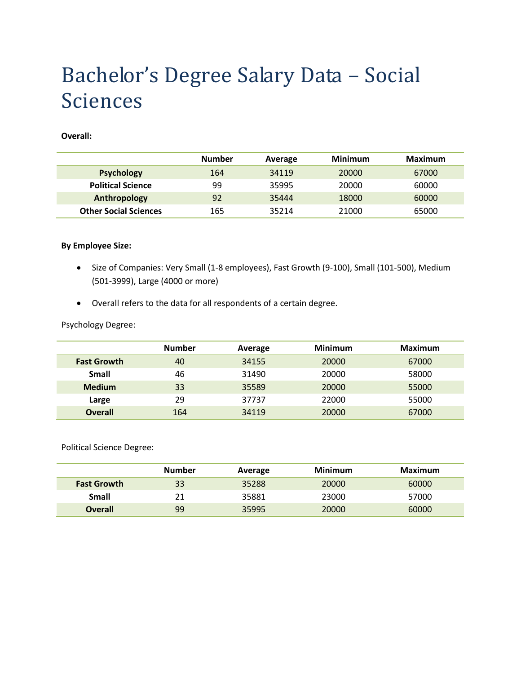# Bachelor's Degree Salary Data – Social Sciences

**Overall:**

|                              | <b>Number</b> | Average | <b>Minimum</b> | Maximum |
|------------------------------|---------------|---------|----------------|---------|
| <b>Psychology</b>            | 164           | 34119   | 20000          | 67000   |
| <b>Political Science</b>     | 99            | 35995   | 20000          | 60000   |
| Anthropology                 | 92            | 35444   | 18000          | 60000   |
| <b>Other Social Sciences</b> | 165           | 35214   | 21000          | 65000   |

#### **By Employee Size:**

- Size of Companies: Very Small (1-8 employees), Fast Growth (9-100), Small (101-500), Medium (501-3999), Large (4000 or more)
- Overall refers to the data for all respondents of a certain degree.

### Psychology Degree:

|                    | <b>Number</b> | Average | <b>Minimum</b> | <b>Maximum</b> |
|--------------------|---------------|---------|----------------|----------------|
| <b>Fast Growth</b> | 40            | 34155   | 20000          | 67000          |
| Small              | 46            | 31490   | 20000          | 58000          |
| <b>Medium</b>      | 33            | 35589   | 20000          | 55000          |
| Large              | 29            | 37737   | 22000          | 55000          |
| <b>Overall</b>     | 164           | 34119   | 20000          | 67000          |

Political Science Degree:

|                    | <b>Number</b> | Average | Minimum | Maximum |
|--------------------|---------------|---------|---------|---------|
| <b>Fast Growth</b> | 33            | 35288   | 20000   | 60000   |
| Small              | 21            | 35881   | 23000   | 57000   |
| <b>Overall</b>     | 99            | 35995   | 20000   | 60000   |